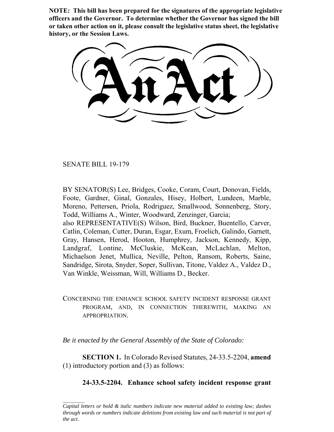**NOTE: This bill has been prepared for the signatures of the appropriate legislative officers and the Governor. To determine whether the Governor has signed the bill or taken other action on it, please consult the legislative status sheet, the legislative history, or the Session Laws.**

SENATE BILL 19-179

BY SENATOR(S) Lee, Bridges, Cooke, Coram, Court, Donovan, Fields, Foote, Gardner, Ginal, Gonzales, Hisey, Holbert, Lundeen, Marble, Moreno, Pettersen, Priola, Rodriguez, Smallwood, Sonnenberg, Story, Todd, Williams A., Winter, Woodward, Zenzinger, Garcia; also REPRESENTATIVE(S) Wilson, Bird, Buckner, Buentello, Carver, Catlin, Coleman, Cutter, Duran, Esgar, Exum, Froelich, Galindo, Garnett, Gray, Hansen, Herod, Hooton, Humphrey, Jackson, Kennedy, Kipp, Landgraf, Lontine, McCluskie, McKean, McLachlan, Melton,

Michaelson Jenet, Mullica, Neville, Pelton, Ransom, Roberts, Saine, Sandridge, Sirota, Snyder, Soper, Sullivan, Titone, Valdez A., Valdez D., Van Winkle, Weissman, Will, Williams D., Becker.

CONCERNING THE ENHANCE SCHOOL SAFETY INCIDENT RESPONSE GRANT PROGRAM, AND, IN CONNECTION THEREWITH, MAKING AN APPROPRIATION.

*Be it enacted by the General Assembly of the State of Colorado:*

**SECTION 1.** In Colorado Revised Statutes, 24-33.5-2204, **amend** (1) introductory portion and (3) as follows:

## **24-33.5-2204. Enhance school safety incident response grant**

*Capital letters or bold & italic numbers indicate new material added to existing law; dashes through words or numbers indicate deletions from existing law and such material is not part of the act.*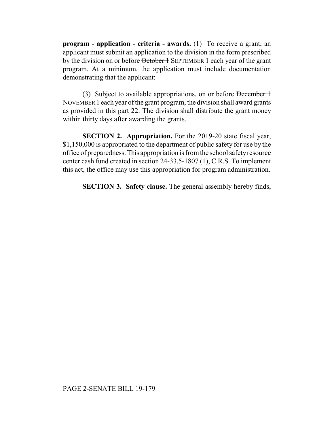**program - application - criteria - awards.** (1) To receive a grant, an applicant must submit an application to the division in the form prescribed by the division on or before October 1 SEPTEMBER 1 each year of the grant program. At a minimum, the application must include documentation demonstrating that the applicant:

(3) Subject to available appropriations, on or before December 1 NOVEMBER 1 each year of the grant program, the division shall award grants as provided in this part 22. The division shall distribute the grant money within thirty days after awarding the grants.

**SECTION 2. Appropriation.** For the 2019-20 state fiscal year, \$1,150,000 is appropriated to the department of public safety for use by the office of preparedness. This appropriation is from the school safety resource center cash fund created in section 24-33.5-1807 (1), C.R.S. To implement this act, the office may use this appropriation for program administration.

**SECTION 3. Safety clause.** The general assembly hereby finds,